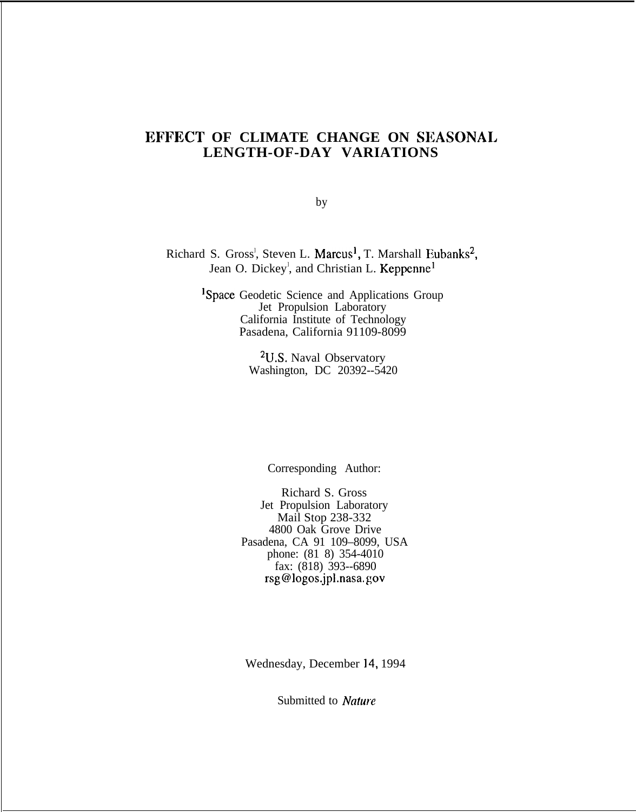# **EFFECT OF CLIMATE CHANGE ON SEASONAL LENGTH-OF-DAY VARIATIONS**

by

Richard S. Gross<sup>1</sup>, Steven L. Marcus<sup>1</sup>, T. Marshall Eubanks<sup>2</sup> Jean O. Dickey<sup>1</sup>, and Christian L. Keppenne

> lSpace Geodetic Science and Applications Group Jet Propulsion Laboratory California Institute of Technology Pasadena, California 91109-8099

> > 2U.S. Naval Observatory Washington, DC 20392--5420

> > > Corresponding Author:

Richard S. Gross Jet Propulsion Laboratory Mail Stop 238-332 4800 Oak Grove Drive Pasadena, CA 91 109–8099, USA phone: (81 8) 354-4010 fax: (818) 393--6890 rsg@logos.jpl.nasa. gov

Wednesday, December 14, 1994

Submitted to Nature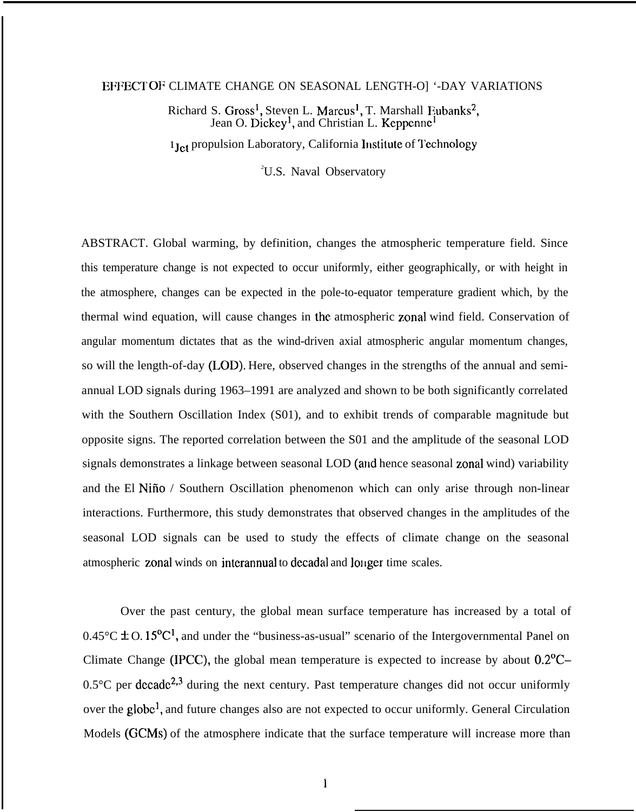#### EFFECT OF CLIMATE CHANGE ON SEASONAL LENGTH-O] '-DAY VARIATIONS

Richard S. Gross<sup>1</sup>, Steven L. Marcus<sup>1</sup>, T. Marshall Eubanks<sup>2</sup>, Jean O. Dickey<sup>1</sup>, and Christian L. Keppenne

1 Jet propulsion Laboratory, California Institute of Technology

<sup>2</sup>U.S. Naval Observatory

ABSTRACT. Global warming, by definition, changes the atmospheric temperature field. Since this temperature change is not expected to occur uniformly, either geographically, or with height in the atmosphere, changes can be expected in the pole-to-equator temperature gradient which, by the thermal wind equation, will cause changes in the atmospheric zonal wind field. Conservation of angular momentum dictates that as the wind-driven axial atmospheric angular momentum changes, so will the length-of-day (LOD), Here, observed changes in the strengths of the annual and semiannual LOD signals during 1963–1991 are analyzed and shown to be both significantly correlated with the Southern Oscillation Index (S01), and to exhibit trends of comparable magnitude but opposite signs. The reported correlation between the S01 and the amplitude of the seasonal LOD signals demonstrates a linkage between seasonal LOD (and hence seasonal zonal wind) variability and the El Nifio / Southern Oscillation phenomenon which can only arise through non-linear interactions. Furthermore, this study demonstrates that observed changes in the amplitudes of the seasonal LOD signals can be used to study the effects of climate change on the seasonal atmospheric zonal winds on interannual to decadal and longer time scales.

Over the past century, the global mean surface temperature has increased by a total of  $0.45^{\circ}$ C  $\pm$  O. 15<sup>o</sup>C<sup>1</sup>, and under the "business-as-usual" scenario of the Intergovernmental Panel on Climate Change (IPCC), the global mean temperature is expected to increase by about 0.2°C–  $0.5^{\circ}$ C per decade<sup>2,3</sup> during the next century. Past temperature changes did not occur uniformly over the globe<sup>1</sup>, and future changes also are not expected to occur uniformly. General Circulation Models (GCMS) of the atmosphere indicate that the surface temperature will increase more than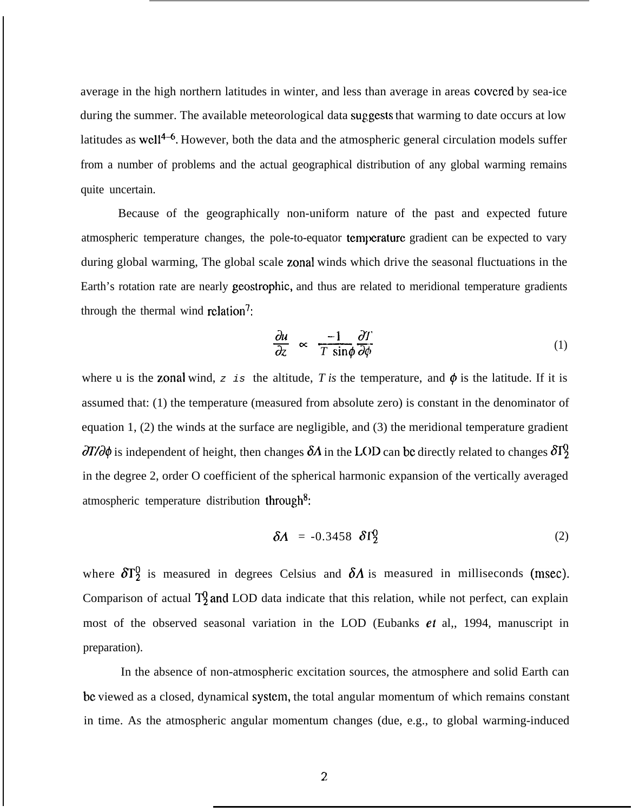average in the high northern latitudes in winter, and less than average in areas covcrcd by sea-ice during the summer. The available meteorological data suggests that warming to date occurs at low latitudes as well<sup>4-6</sup>. However, both the data and the atmospheric general circulation models suffer from a number of problems and the actual geographical distribution of any global warming remains quite uncertain.

Because of the geographically non-uniform nature of the past and expected future atmospheric temperature changes, the pole-to-equator temperature gradient can be expected to vary during global warming, The global scale zonal winds which drive the seasonal fluctuations in the Earth's rotation rate are nearly geostrophic, and thus are related to meridional temperature gradients through the thermal wind relation<sup>7</sup>:

$$
\frac{\partial u}{\partial z} \propto \frac{-1}{T \sin \phi} \frac{\partial T}{\partial \phi} \tag{1}
$$

where u is the zonal wind,  $z$  is the altitude, *T* is the temperature, and  $\phi$  is the latitude. If it is assumed that: (1) the temperature (measured from absolute zero) is constant in the denominator of equation 1, (2) the winds at the surface are negligible, and (3) the meridional temperature gradient  $\partial T/\partial \phi$  is independent of height, then changes  $\delta A$  in the LOD can be directly related to changes  $\partial T_2$ in the degree 2, order O coefficient of the spherical harmonic expansion of the vertically averaged atmospheric temperature distribution through<sup>8</sup>:

$$
\delta A = -0.3458 \delta \Gamma_2^0 \tag{2}
$$

where  $\delta T_2^0$  is measured in degrees Celsius and  $\delta A$  is measured in milliseconds (msec). Comparison of actual  $T_2^0$  and LOD data indicate that this relation, while not perfect, can explain most of the observed seasonal variation in the LOD (Eubanks  $et$  al,, 1994, manuscript in preparation).

In the absence of non-atmospheric excitation sources, the atmosphere and solid Earth can be viewed as a closed, dynamical system, the total angular momentum of which remains constant in time. As the atmospheric angular momentum changes (due, e.g., to global warming-induced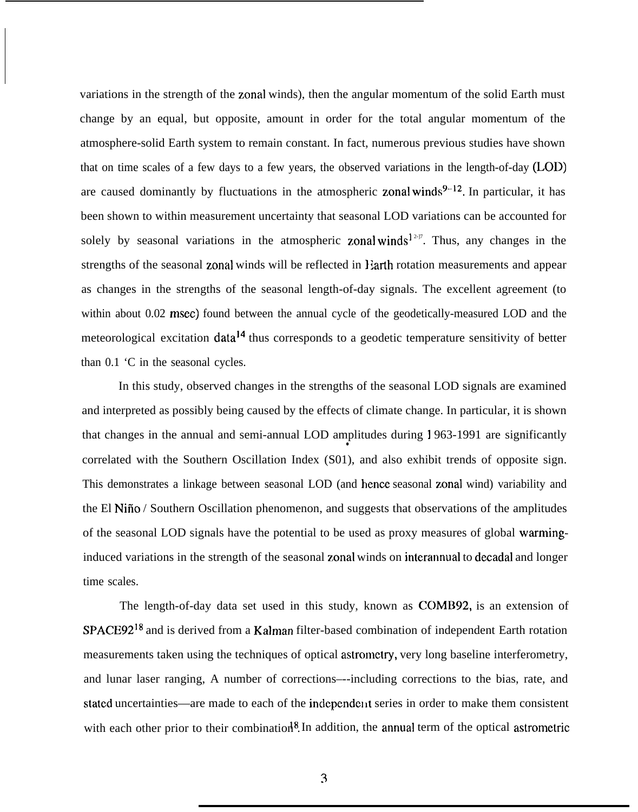variations in the strength of the zonal winds), then the angular momentum of the solid Earth must change by an equal, but opposite, amount in order for the total angular momentum of the atmosphere-solid Earth system to remain constant. In fact, numerous previous studies have shown that on time scales of a few days to a few years, the observed variations in the length-of-day (LOD) are caused dominantly by fluctuations in the atmospheric zonal winds $9-12$ . In particular, it has been shown to within measurement uncertainty that seasonal LOD variations can be accounted for solely by seasonal variations in the atmospheric zonal winds<sup>12-17</sup>. Thus, any changes in the strengths of the seasonal zonal winds will be reflected in *l* arth rotation measurements and appear as changes in the strengths of the seasonal length-of-day signals. The excellent agreement (to within about 0.02 msec) found between the annual cycle of the geodetically-measured LOD and the meteorological excitation data<sup>14</sup> thus corresponds to a geodetic temperature sensitivity of better than 0.1 'C in the seasonal cycles.

In this study, observed changes in the strengths of the seasonal LOD signals are examined and interpreted as possibly being caused by the effects of climate change. In particular, it is shown that changes in the annual and semi-annual LOD amplitudes during 1963-1991 are significantly correlated with the Southern Oscillation Index (S01), and also exhibit trends of opposite sign. This demonstrates a linkage between seasonal LOD (and henee seasonal zonal wind) variability and the El Nifio / Southern Oscillation phenomenon, and suggests that observations of the amplitudes of the seasonal LOD signals have the potential to be used as proxy measures of global warminginduced variations in the strength of the seasonal zonal winds on interannual to decadal and longer time scales.

The length-of-day data set used in this study, known as COMB92, is an extension of SPACE9218 and is derived from a Kalman filter-based combination of independent Earth rotation measurements taken using the techniques of optical astrometry, very long baseline interferometry, and lunar laser ranging, A number of corrections–--including corrections to the bias, rate, and stated uncertainties—are made to each of the independent series in order to make them consistent with each other prior to their combination<sup>8</sup>. In addition, the annual term of the optical astrometric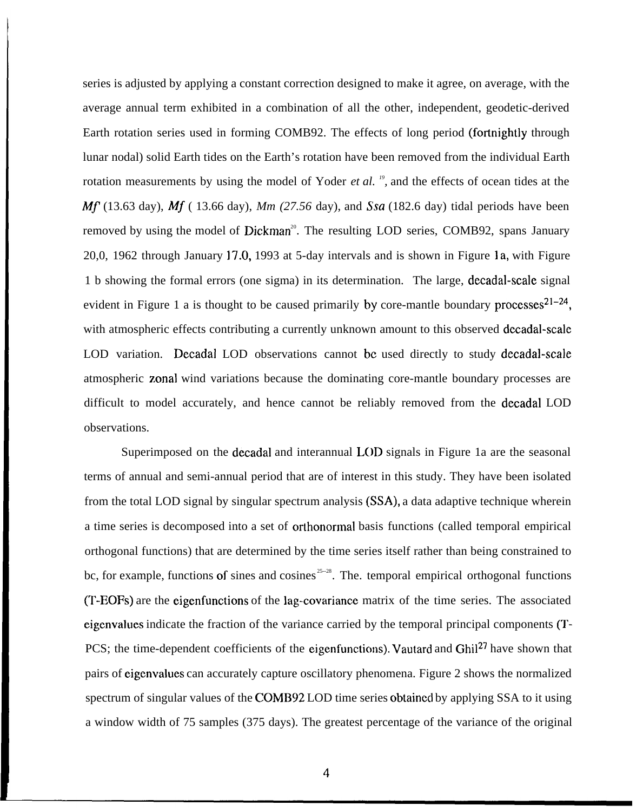series is adjusted by applying a constant correction designed to make it agree, on average, with the average annual term exhibited in a combination of all the other, independent, geodetic-derived Earth rotation series used in forming COMB92. The effects of long period (fortnightly through lunar nodal) solid Earth tides on the Earth's rotation have been removed from the individual Earth rotation measurements by using the model of Yoder *et al.* <sup>19</sup>, and the effects of ocean tides at the *Mf* (13.63 day), *Mf* (13.66 day), *Mm* (27.56 day), and *Ssa* (182.6 day) tidal periods have been removed by using the model of Dickman<sup>20</sup>. The resulting LOD series, COMB92, spans January 20,0, 1962 through January 17.0, 1993 at 5-day intervals and is shown in Figure 1a, with Figure 1 b showing the formal errors (one sigma) in its determination. The large, decadal-scale signal evident in Figure 1 a is thought to be caused primarily by core-mantle boundary processes  $21-24$ , with atmospheric effects contributing a currently unknown amount to this observed decadal-scale LOD variation. Decadal LOD observations cannot be used directly to study decadal-scale atmospheric zonal wind variations because the dominating core-mantle boundary processes are difficult to model accurately, and hence cannot be reliably removed from the decadal LOD observations.

Superimposed on the decadal and interannual LOD signals in Figure 1a are the seasonal terms of annual and semi-annual period that are of interest in this study. They have been isolated from the total LOD signal by singular spectrum analysis (SSA), a data adaptive technique wherein a time series is decomposed into a set of orthonormal basis functions (called temporal empirical orthogonal functions) that are determined by the time series itself rather than being constrained to bc, for example, functions of sines and cosines  $25-28$ . The. temporal empirical orthogonal functions (T-EOFS) are the eigenfunctions of the lag-covariance matrix of the time series. The associated eigcnvalues indicate the fraction of the variance carried by the temporal principal components (T-PCS; the time-dependent coefficients of the eigenfunctions). Vautard and Ghil<sup>27</sup> have shown that pairs of eigcnvalues can accurately capture oscillatory phenomena. Figure 2 shows the normalized spectrum of singular values of the COMB92 LOD time series obtained by applying SSA to it using a window width of 75 samples (375 days). The greatest percentage of the variance of the original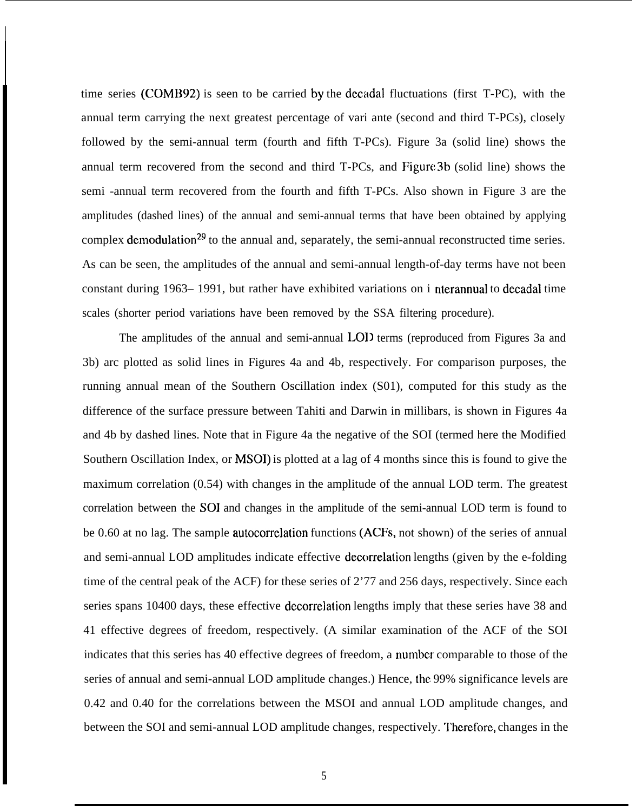time series (COMB92) is seen to be carried by the decadal fluctuations (first T-PC), with the annual term carrying the next greatest percentage of vari ante (second and third T-PCs), closely followed by the semi-annual term (fourth and fifth T-PCs). Figure 3a (solid line) shows the annual term recovered from the second and third T-PCs, and Figure 3b (solid line) shows the semi -annual term recovered from the fourth and fifth T-PCs. Also shown in Figure 3 are the amplitudes (dashed lines) of the annual and semi-annual terms that have been obtained by applying complex demodulation<sup>29</sup> to the annual and, separately, the semi-annual reconstructed time series. As can be seen, the amplitudes of the annual and semi-annual length-of-day terms have not been constant during 1963– 1991, but rather have exhibited variations on i nterannual to decadal time scales (shorter period variations have been removed by the SSA filtering procedure).

I

The amplitudes of the annual and semi-annual LOD terms (reproduced from Figures 3a and 3b) arc plotted as solid lines in Figures 4a and 4b, respectively. For comparison purposes, the running annual mean of the Southern Oscillation index (S01), computed for this study as the difference of the surface pressure between Tahiti and Darwin in millibars, is shown in Figures 4a and 4b by dashed lines. Note that in Figure 4a the negative of the SOI (termed here the Modified Southern Oscillation Index, or MSOI) is plotted at a lag of 4 months since this is found to give the maximum correlation (0.54) with changes in the amplitude of the annual LOD term. The greatest correlation between the SOI and changes in the amplitude of the semi-annual LOD term is found to be 0.60 at no lag. The sample autocorrelation functions (ACFS, not shown) of the series of annual and semi-annual LOD amplitudes indicate effective decorrelation lengths (given by the e-folding time of the central peak of the ACF) for these series of 2'77 and 256 days, respectively. Since each series spans 10400 days, these effective decorrelation lengths imply that these series have 38 and 41 effective degrees of freedom, respectively. (A similar examination of the ACF of the SOI indicates that this series has 40 effective degrees of freedom, a number comparable to those of the series of annual and semi-annual LOD amplitude changes.) Hence, the 99% significance levels are 0.42 and 0.40 for the correlations between the MSOI and annual LOD amplitude changes, and between the SOI and semi-annual LOD amplitude changes, respectively. '1'hcrefore, changes in the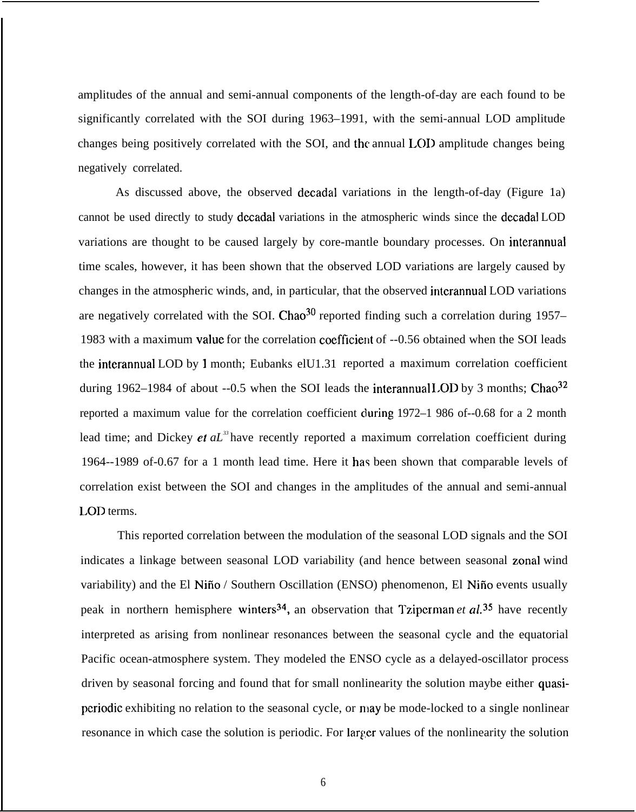amplitudes of the annual and semi-annual components of the length-of-day are each found to be significantly correlated with the SOI during 1963–1991, with the semi-annual LOD amplitude changes being positively correlated with the SOI, and the annual 1.011 amplitude changes being negatively correlated.

As discussed above, the observed decadal variations in the length-of-day (Figure 1a) cannot be used directly to study decadal variations in the atmospheric winds since the decadal LOD variations are thought to be caused largely by core-mantle boundary processes. On interannual time scales, however, it has been shown that the observed LOD variations are largely caused by changes in the atmospheric winds, and, in particular, that the observed interannual LOD variations are negatively correlated with the SOI. Chao<sup>30</sup> reported finding such a correlation during 1957– 1983 with a maximum value for the correlation coefficient of --0.56 obtained when the SOI leads the interannual LOD by 1 month; Eubanks elU1.31 reported a maximum correlation coefficient during 1962–1984 of about --0.5 when the SOI leads the interannual LOD by 3 months; Chao<sup>32</sup> reported a maximum value for the correlation coefficient during 1972–1 986 of--0.68 for a 2 month lead time; and Dickey et *aL<sup>33</sup>*have recently reported a maximum correlation coefficient during 1964--1989 of-0.67 for a 1 month lead time. Here it has been shown that comparable levels of correlation exist between the SOI and changes in the amplitudes of the annual and semi-annual LOD terms.

This reported correlation between the modulation of the seasonal LOD signals and the SOI indicates a linkage between seasonal LOD variability (and hence between seasonal zonal wind variability) and the El Niño / Southern Oscillation (ENSO) phenomenon, El Niño events usually peak in northern hemisphere winters<sup>34</sup>, an observation that Tziperman *et al.*<sup>35</sup> have recently interpreted as arising from nonlinear resonances between the seasonal cycle and the equatorial Pacific ocean-atmosphere system. They modeled the ENSO cycle as a delayed-oscillator process driven by seasonal forcing and found that for small nonlinearity the solution maybe either quasiperiodic exhibiting no relation to the seasonal cycle, or may be mode-locked to a single nonlinear resonance in which case the solution is periodic. For larger values of the nonlinearity the solution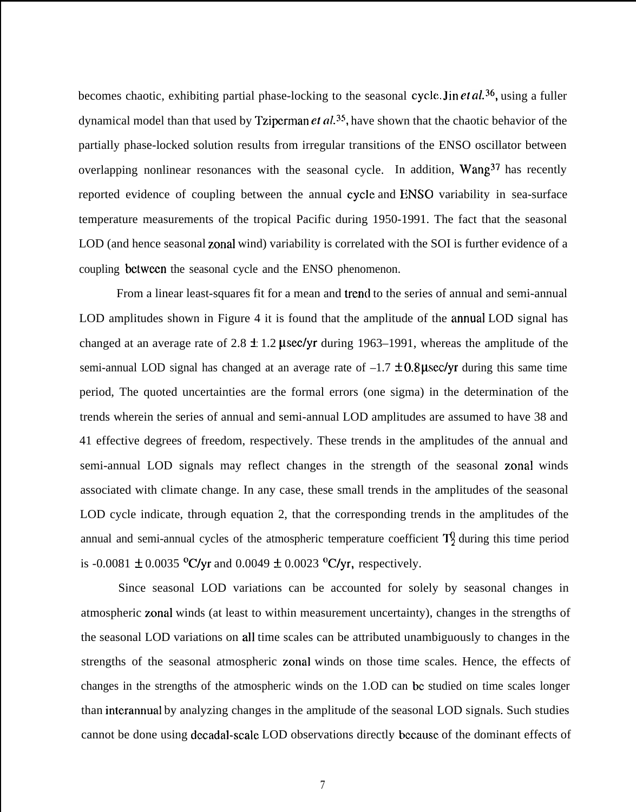becomes chaotic, exhibiting partial phase-locking to the seasonal cycle. Jin et al.<sup>36</sup>, using a fuller dynamical model than that used by Tziperman et  $al$ .<sup>35</sup>, have shown that the chaotic behavior of the partially phase-locked solution results from irregular transitions of the ENSO oscillator between overlapping nonlinear resonances with the seasonal cycle. In addition, Wang<sup>37</sup> has recently reported evidence of coupling between the annual cycle and ENSO variability in sea-surface temperature measurements of the tropical Pacific during 1950-1991. The fact that the seasonal LOD (and hence seasonal zonal wind) variability is correlated with the SOI is further evidence of a coupling bctwccn the seasonal cycle and the ENSO phenomenon.

From a linear least-squares fit for a mean and trend to the series of annual and semi-annual LOD amplitudes shown in Figure 4 it is found that the amplitude of the annual LOD signal has changed at an average rate of 2.8  $\pm$  1.2 µsec/yr during 1963–1991, whereas the amplitude of the semi-annual LOD signal has changed at an average rate of  $-1.7 \pm 0.8 \mu$ sec/yr during this same time period, The quoted uncertainties are the formal errors (one sigma) in the determination of the trends wherein the series of annual and semi-annual LOD amplitudes are assumed to have 38 and 41 effective degrees of freedom, respectively. These trends in the amplitudes of the annual and semi-annual LOD signals may reflect changes in the strength of the seasonal zonal winds associated with climate change. In any case, these small trends in the amplitudes of the seasonal LOD cycle indicate, through equation 2, that the corresponding trends in the amplitudes of the annual and semi-annual cycles of the atmospheric temperature coefficient  $T_2^0$  during this time period is -0.0081  $\pm$  0.0035 °C/yr and 0.0049  $\pm$  0.0023 °C/yr, respectively.

Since seasonal LOD variations can be accounted for solely by seasonal changes in atmospheric zonal winds (at least to within measurement uncertainty), changes in the strengths of the seasonal LOD variations on all time scales can be attributed unambiguously to changes in the strengths of the seasonal atmospheric zonal winds on those time scales. Hence, the effects of changes in the strengths of the atmospheric winds on the 1.OD can bc studied on time scales longer than interannual by analyzing changes in the amplitude of the seasonal LOD signals. Such studies cannot be done using dccadal-scale LOD observations directly bccausc of the dominant effects of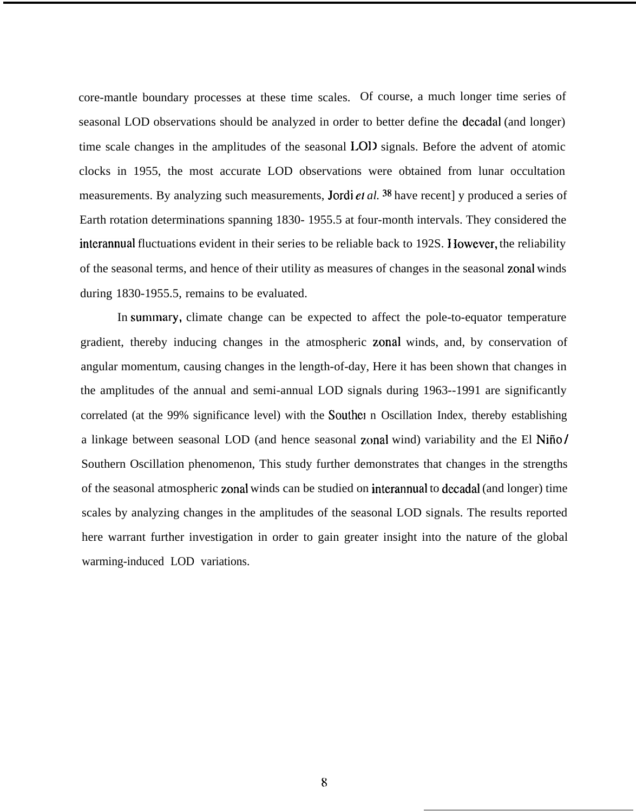core-mantle boundary processes at these time scales. Of course, a much longer time series of seasonal LOD observations should be analyzed in order to better define the decadal (and longer) time scale changes in the amplitudes of the seasonal LOD signals. Before the advent of atomic clocks in 1955, the most accurate LOD observations were obtained from lunar occultation measurements. By analyzing such measurements, Jordi et al. <sup>38</sup> have recent] y produced a series of Earth rotation determinations spanning 1830- 1955.5 at four-month intervals. They considered the interannual fluctuations evident in their series to be reliable back to 192S. I lowever, the reliability of the seasonal terms, and hence of their utility as measures of changes in the seasonal zonal winds during 1830-1955.5, remains to be evaluated.

In summary, climate change can be expected to affect the pole-to-equator temperature gradient, thereby inducing changes in the atmospheric zonal winds, and, by conservation of angular momentum, causing changes in the length-of-day, Here it has been shown that changes in the amplitudes of the annual and semi-annual LOD signals during 1963--1991 are significantly correlated (at the 99% significance level) with the Souther n Oscillation Index, thereby establishing a linkage between seasonal LOD (and hence seasonal zonal wind) variability and the El Nifio / Southern Oscillation phenomenon, This study further demonstrates that changes in the strengths of the seasonal atmospheric zonal winds can be studied on interannual to decadal (and longer) time scales by analyzing changes in the amplitudes of the seasonal LOD signals. The results reported here warrant further investigation in order to gain greater insight into the nature of the global warming-induced LOD variations.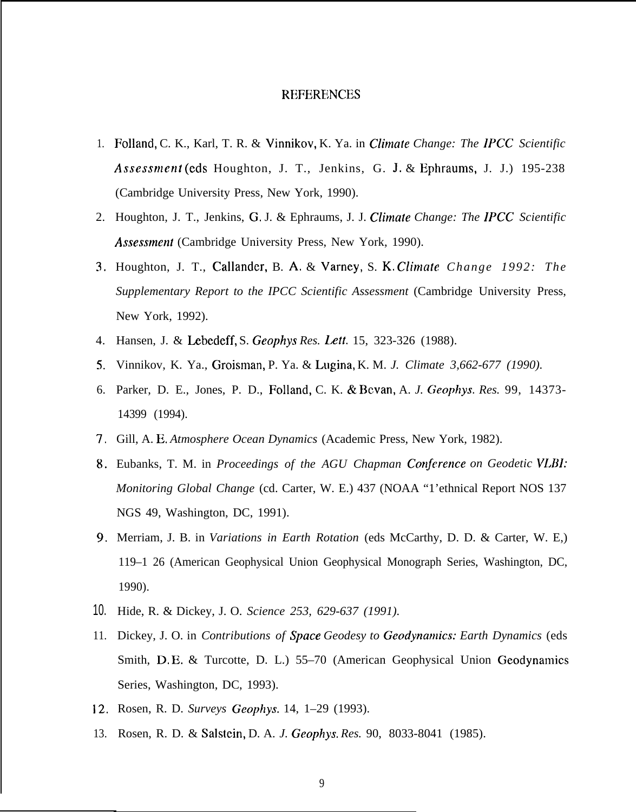### **REFERENCES**

- 1. Folland, C. K., Karl, T. R. & Vinnikov, K. Ya. in *Climate Change: The IPCC Scientific Assessment* (eds Houghton, J. T., Jenkins, G. J. & Ephraums, J. J.) 195-238 (Cambridge University Press, New York, 1990).
- 2. Houghton, J. T., Jenkins, G, J. & Ephraums, J. J. *Climate Change: The IPCC Scientific* Assessment (Cambridge University Press, New York, 1990).
- 3. Houghton, J. T., Callander, B. A. & Varney, S. K. *Climate Change 1992: The Supplementary Report to the IPCC Scientific Assessment* (Cambridge University Press, New York, 1992).
- 4. Hansen, J. & Lebedeff, S. *Geophys Res. LeIt.* 15, 323-326 (1988).
- 5. Vinnikov, K. Ya., Groisman, P. Ya. & Lugina, K. M. *J. Climate 3,662-677 (1990)*.
- 6. Parker, D. E., Jones, P. D., Folland, C. K. & Bcvan, A. *J. Geophys. Res.* 99, 14373- 14399 (1994).
- 7. Gill, A. E, *Atmosphere Ocean Dynamics* (Academic Press, New York, 1982).
- 8. Eubanks, T. M. in *Proceedings of the AGU Chapman Conference on Geodetic VLBI: Monitoring Global Change* (cd. Carter, W. E.) 437 (NOAA "1'ethnical Report NOS 137 NGS 49, Washington, DC, 1991).
- 9. Merriam, J. B. in *Variations in Earth Rotation* (eds McCarthy, D. D. & Carter, W. E,) 119–1 26 (American Geophysical Union Geophysical Monograph Series, Washington, DC, 1990).
- 10. Hide, R. & Dickey, J. O. *Science 253, 629-637 (1991).*
- 11. Dickey, J. O. in *Contributions of Space Geodesy to Geodynamics: Earth Dynamics* (eds Smith, D, E. & Turcotte, D. L.) 55–70 (American Geophysical Union Geodynamics Series, Washington, DC, 1993).
- 12, Rosen, R. D. *Surveys Geophys.* 14, 1–29 (1993).
- 13. Rosen, R. D. & Salstein, D. A. *J. Geophys. Res.* 90, 8033-8041 (1985).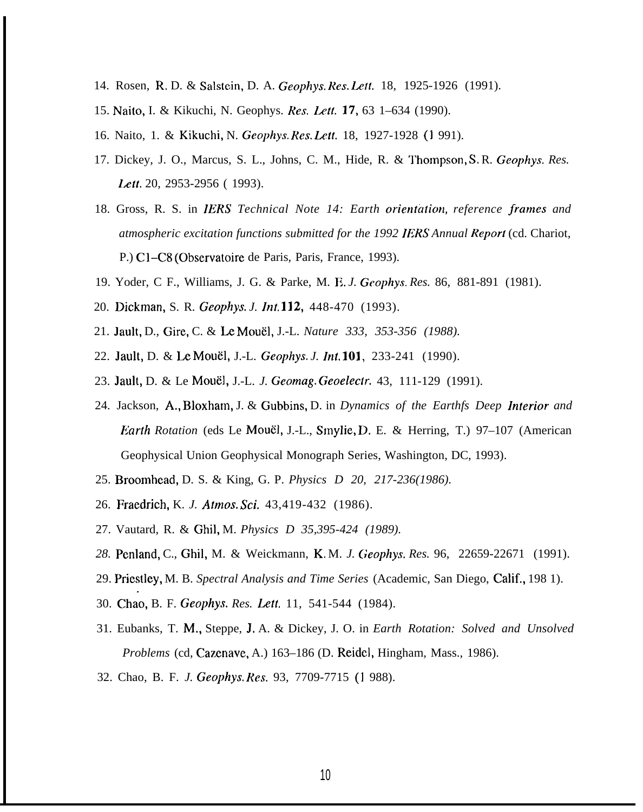- 14. Rosen, R. D. & Salstein, D. A. *Geophys. Res. Left.* 18, 1925-1926 (1991).
- 15. Naito, I. & Kikuchi, N. Geophys. Res. Lett. 17, 63 1–634 (1990).
- 16. Naito, 1. & Kikuchi, N. *Geophys. Res. Lett.* 18, 1927-1928 (1 991).
- 17. Dickey, J. O., Marcus, S. L., Johns, C. M., Hide, R. & '1'hornpson, S. R. *Geophys. Res. Lett.* 20, 2953-2956 ( 1993).
- 18. Gross, R. S. in *IERS Technical Note 14: Earth orienttition, reference frames and atmospheric excitation functions submitted for the 1992 IERS Annual Report* (cd. Chariot, P.) C1–C8 (Observatoire de Paris, Paris, France, 1993).
- 19. Yoder, C F., Williams, J. G. & Parke, M. E. *J. Geophys. Res.* 86, 881-891 (1981).
- 20. Dickman, S. R. *Geophys. J. lnt,* 112, 448-470 (1993).
- 21. Jault, D., Gire, C. & Le Mouël, J.-L. *Nature 333, 353-356 (1988)*.
- 22. Jault, D. & Le Mouel, J.-L. *Geophys. J. Int. 101,* 233-241 (1990).
- 23. Jault, D. & Le Moue], J.-L. *J. Geomag. Geoelectr.* 43, 111-129 (1991).
- 24. Jackson, A., Bloxham, J. & Gubbins, D. in *Dynamics of the Earthfs Deep Interior and Earth Rotation* (eds Le Moue], J.-L., Smylie, D. E. & Herring, T.) 97–107 (American Geophysical Union Geophysical Monograph Series, Washington, DC, 1993).
- 25. Broomhead, D. S. & King, G. P. *Physics D 20, 217-236(1986).*
- 26. Fraedrich, K. *J. Atmos. Sci.* 43,419-432 (1986).
- 27. Vautard, R. & Ghil, M. *Physics D 35,395-424 (1989).*
- *28.* Penland, C., Ghil, M. & Weickmann, K, M. *J. Geophys. Res.* 96, 22659-22671 (1991).
- 29. Priestley, M. B. *Spectral Analysis and Time Series* (Academic, San Diego, Calif., 198 1).
- 30. Chao, B. F. *Geophys. Res. Lett,* 11, 541-544 (1984).
- 31. Eubanks, T. M,, Steppe, J, A. & Dickey, J. O. in *Earth Rotation: Solved and Unsolved Problems* (cd, Cazenave, A.) 163–186 (D. Reidel, Hingham, Mass., 1986).
- 32. Chao, B. F. *J. Geophys. Res.* 93, 7709-7715 (1 988).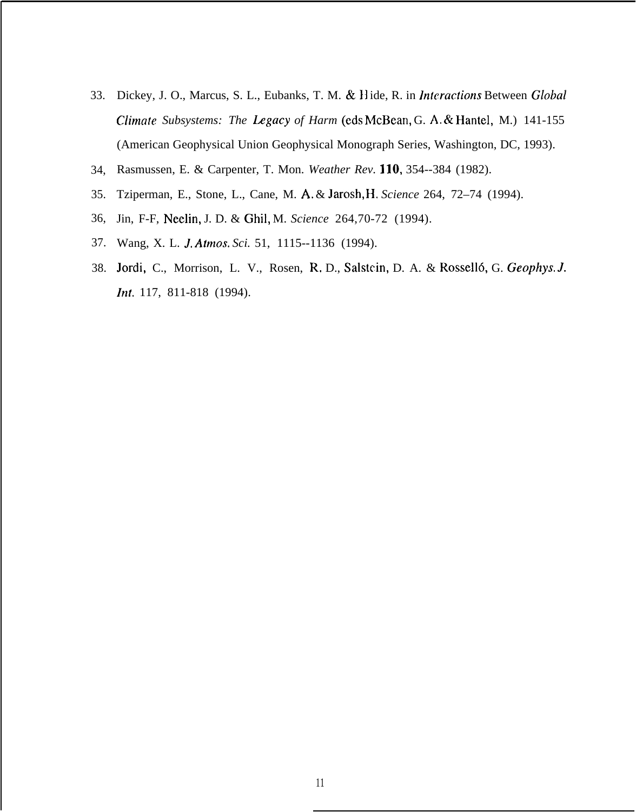- 33. Dickey, J. O., Marcus, S. L., Eubanks, T. M. & Hide, R. in *Interactions* Between *Global Climate Subsystems: The Legacy of Harm* (eds McBean, G. A. & Hantel, M.) 141-155 (American Geophysical Union Geophysical Monograph Series, Washington, DC, 1993).
- 34, Rasmussen, E. & Carpenter, T. Mon. *Weather Rev. 110,* 354--384 (1982).
- 35. Tziperman, E., Stone, L., Cane, M. A, & Jarosh, H, *Science* 264, 72–74 (1994).
- 36, Jin, F-F, Neelin, J. D. & Ghil, M. *Science* 264,70-72 (1994).
- 37. Wang, X. L. *J. Atmos. Sci.* 51, 1115--1136 (1994).
- 38. Jordi, C., Morrison, L. V., Rosen, R. D., Salstein, D. A. & Rosselló, G. *Geophys. J. Int.* 117, 811-818 (1994).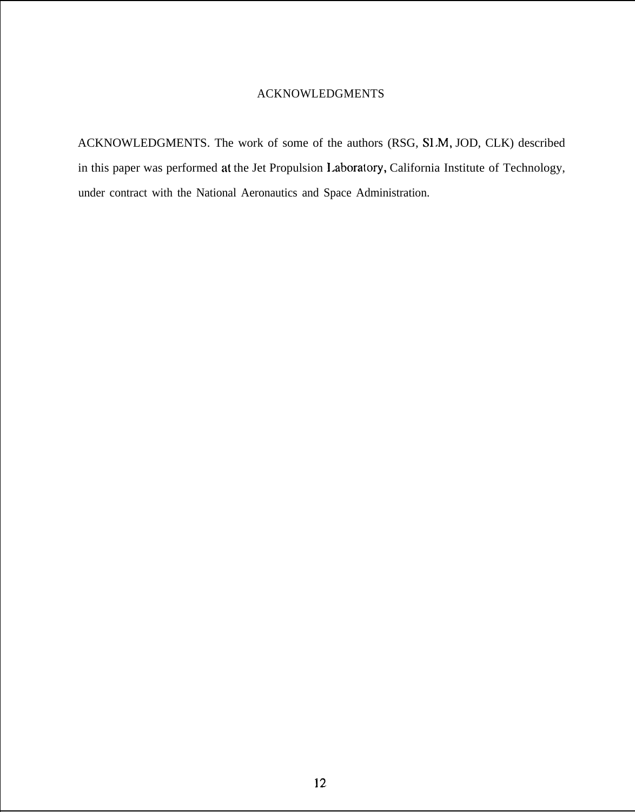## ACKNOWLEDGMENTS

ACKNOWLEDGMENTS. The work of some of the authors (RSG, SI.M, JOD, CLK) described in this paper was performed at the Jet Propulsion 1.aboratory, California Institute of Technology, under contract with the National Aeronautics and Space Administration.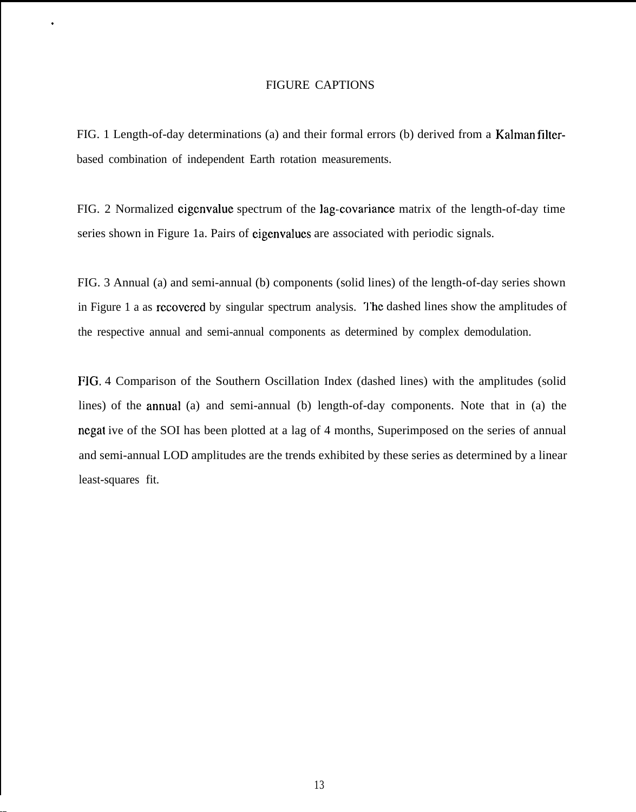#### FIGURE CAPTIONS

.

 $\overline{a}$ 

FIG. 1 Length-of-day determinations (a) and their formal errors (b) derived from a Kalman filterbased combination of independent Earth rotation measurements.

FIG. 2 Normalized cigcnvalue spectrum of the lag-covariance matrix of the length-of-day time series shown in Figure 1a. Pairs of eigenvalues are associated with periodic signals.

FIG. 3 Annual (a) and semi-annual (b) components (solid lines) of the length-of-day series shown in Figure 1 a as recovered by singular spectrum analysis. The dashed lines show the amplitudes of the respective annual and semi-annual components as determined by complex demodulation.

FIG. 4 Comparison of the Southern Oscillation Index (dashed lines) with the amplitudes (solid lines) of the annual (a) and semi-annual (b) length-of-day components. Note that in (a) the ncgat ive of the SOI has been plotted at a lag of 4 months, Superimposed on the series of annual and semi-annual LOD amplitudes are the trends exhibited by these series as determined by a linear least-squares fit.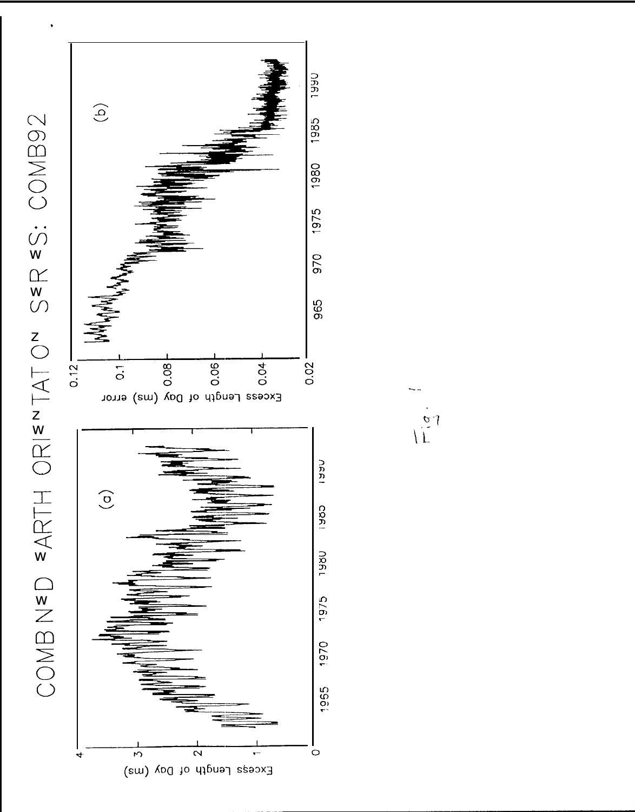

 $\frac{1}{2}$ 

SER <S: COMB92 COMB NED EARTH ORIENTATON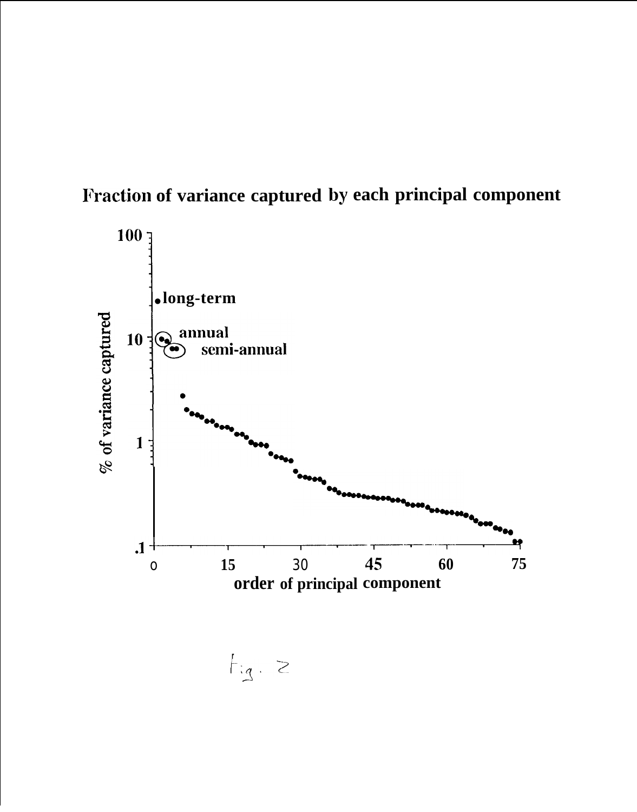



 $f_{ig.}$  2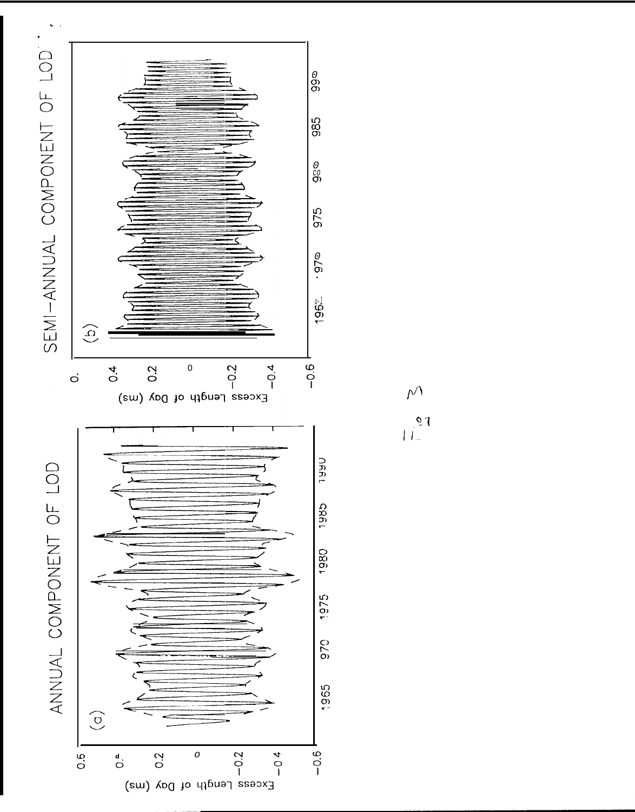

 $\mathcal{N}$ 

 $\begin{array}{c} \n\sqrt{2} \\
\frac{1}{2}\n\end{array}$